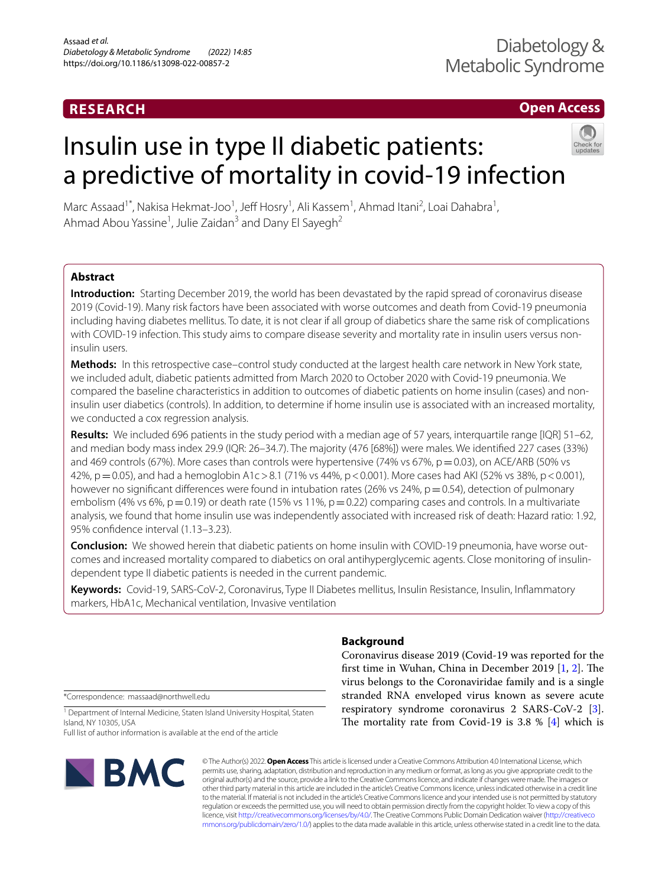# **RESEARCH**

# **Open Access**

# Insulin use in type II diabetic patients: a predictive of mortality in covid-19 infection



Marc Assaad<sup>1\*</sup>, Nakisa Hekmat-Joo<sup>1</sup>, Jeff Hosry<sup>1</sup>, Ali Kassem<sup>1</sup>, Ahmad Itani<sup>2</sup>, Loai Dahabra<sup>1</sup>, Ahmad Abou Yassine<sup>1</sup>, Julie Zaidan<sup>3</sup> and Dany El Sayegh<sup>2</sup>

# **Abstract**

**Introduction:** Starting December 2019, the world has been devastated by the rapid spread of coronavirus disease 2019 (Covid-19). Many risk factors have been associated with worse outcomes and death from Covid-19 pneumonia including having diabetes mellitus. To date, it is not clear if all group of diabetics share the same risk of complications with COVID-19 infection. This study aims to compare disease severity and mortality rate in insulin users versus noninsulin users.

**Methods:** In this retrospective case–control study conducted at the largest health care network in New York state, we included adult, diabetic patients admitted from March 2020 to October 2020 with Covid-19 pneumonia. We compared the baseline characteristics in addition to outcomes of diabetic patients on home insulin (cases) and noninsulin user diabetics (controls). In addition, to determine if home insulin use is associated with an increased mortality, we conducted a cox regression analysis.

**Results:** We included 696 patients in the study period with a median age of 57 years, interquartile range [IQR] 51–62, and median body mass index 29.9 (IQR: 26–34.7). The majority (476 [68%]) were males. We identifed 227 cases (33%) and 469 controls (67%). More cases than controls were hypertensive (74% vs 67%, p=0.03), on ACE/ARB (50% vs 42%, p=0.05), and had a hemoglobin A1c>8.1 (71% vs 44%, p<0.001). More cases had AKI (52% vs 38%, p<0.001), however no significant differences were found in intubation rates (26% vs 24%,  $p = 0.54$ ), detection of pulmonary embolism (4% vs 6%,  $p=0.19$ ) or death rate (15% vs 11%,  $p=0.22$ ) comparing cases and controls. In a multivariate analysis, we found that home insulin use was independently associated with increased risk of death: Hazard ratio: 1.92, 95% confdence interval (1.13–3.23).

**Conclusion:** We showed herein that diabetic patients on home insulin with COVID-19 pneumonia, have worse outcomes and increased mortality compared to diabetics on oral antihyperglycemic agents. Close monitoring of insulindependent type II diabetic patients is needed in the current pandemic.

**Keywords:** Covid-19, SARS-CoV-2, Coronavirus, Type II Diabetes mellitus, Insulin Resistance, Insulin, Infammatory markers, HbA1c, Mechanical ventilation, Invasive ventilation

**Background**

Coronavirus disease 2019 (Covid-19 was reported for the first time in Wuhan, China in December 2019  $[1, 2]$  $[1, 2]$  $[1, 2]$ . The virus belongs to the Coronaviridae family and is a single stranded RNA enveloped virus known as severe acute respiratory syndrome coronavirus 2 SARS-CoV-2 [\[3](#page-6-2)]. The mortality rate from Covid-19 is 3.8  $%$  [\[4](#page-6-3)] which is

\*Correspondence: massaad@northwell.edu

<sup>1</sup> Department of Internal Medicine, Staten Island University Hospital, Staten Island, NY 10305, USA

Full list of author information is available at the end of the article



© The Author(s) 2022. **Open Access** This article is licensed under a Creative Commons Attribution 4.0 International License, which permits use, sharing, adaptation, distribution and reproduction in any medium or format, as long as you give appropriate credit to the original author(s) and the source, provide a link to the Creative Commons licence, and indicate if changes were made. The images or other third party material in this article are included in the article's Creative Commons licence, unless indicated otherwise in a credit line to the material. If material is not included in the article's Creative Commons licence and your intended use is not permitted by statutory regulation or exceeds the permitted use, you will need to obtain permission directly from the copyright holder. To view a copy of this licence, visit [http://creativecommons.org/licenses/by/4.0/.](http://creativecommons.org/licenses/by/4.0/) The Creative Commons Public Domain Dedication waiver ([http://creativeco](http://creativecommons.org/publicdomain/zero/1.0/) [mmons.org/publicdomain/zero/1.0/](http://creativecommons.org/publicdomain/zero/1.0/)) applies to the data made available in this article, unless otherwise stated in a credit line to the data.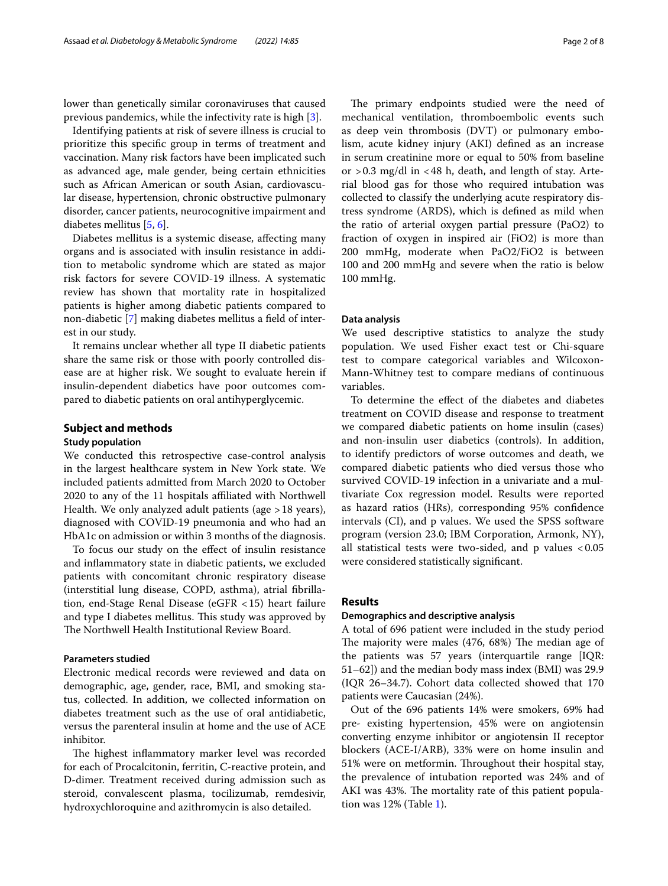lower than genetically similar coronaviruses that caused previous pandemics, while the infectivity rate is high [[3](#page-6-2)].

Identifying patients at risk of severe illness is crucial to prioritize this specifc group in terms of treatment and vaccination. Many risk factors have been implicated such as advanced age, male gender, being certain ethnicities such as African American or south Asian, cardiovascular disease, hypertension, chronic obstructive pulmonary disorder, cancer patients, neurocognitive impairment and diabetes mellitus [[5,](#page-6-4) [6](#page-6-5)].

Diabetes mellitus is a systemic disease, afecting many organs and is associated with insulin resistance in addition to metabolic syndrome which are stated as major risk factors for severe COVID-19 illness. A systematic review has shown that mortality rate in hospitalized patients is higher among diabetic patients compared to non-diabetic [[7\]](#page-6-6) making diabetes mellitus a feld of interest in our study.

It remains unclear whether all type II diabetic patients share the same risk or those with poorly controlled disease are at higher risk. We sought to evaluate herein if insulin-dependent diabetics have poor outcomes compared to diabetic patients on oral antihyperglycemic.

# **Subject and methods**

## **Study population**

We conducted this retrospective case-control analysis in the largest healthcare system in New York state. We included patients admitted from March 2020 to October 2020 to any of the 11 hospitals afliated with Northwell Health. We only analyzed adult patients (age >18 years), diagnosed with COVID-19 pneumonia and who had an HbA1c on admission or within 3 months of the diagnosis.

To focus our study on the efect of insulin resistance and infammatory state in diabetic patients, we excluded patients with concomitant chronic respiratory disease (interstitial lung disease, COPD, asthma), atrial fbrillation, end-Stage Renal Disease (eGFR <15) heart failure and type I diabetes mellitus. This study was approved by The Northwell Health Institutional Review Board.

# **Parameters studied**

Electronic medical records were reviewed and data on demographic, age, gender, race, BMI, and smoking status, collected. In addition, we collected information on diabetes treatment such as the use of oral antidiabetic, versus the parenteral insulin at home and the use of ACE inhibitor.

The highest inflammatory marker level was recorded for each of Procalcitonin, ferritin, C-reactive protein, and D-dimer. Treatment received during admission such as steroid, convalescent plasma, tocilizumab, remdesivir, hydroxychloroquine and azithromycin is also detailed.

The primary endpoints studied were the need of mechanical ventilation, thromboembolic events such as deep vein thrombosis (DVT) or pulmonary embolism, acute kidney injury (AKI) defned as an increase in serum creatinine more or equal to 50% from baseline or >0.3 mg/dl in <48 h, death, and length of stay. Arterial blood gas for those who required intubation was collected to classify the underlying acute respiratory distress syndrome (ARDS), which is defned as mild when the ratio of arterial oxygen partial pressure (PaO2) to fraction of oxygen in inspired air (FiO2) is more than 200 mmHg, moderate when PaO2/FiO2 is between 100 and 200 mmHg and severe when the ratio is below 100 mmHg.

#### **Data analysis**

We used descriptive statistics to analyze the study population. We used Fisher exact test or Chi-square test to compare categorical variables and Wilcoxon-Mann-Whitney test to compare medians of continuous variables.

To determine the efect of the diabetes and diabetes treatment on COVID disease and response to treatment we compared diabetic patients on home insulin (cases) and non-insulin user diabetics (controls). In addition, to identify predictors of worse outcomes and death, we compared diabetic patients who died versus those who survived COVID-19 infection in a univariate and a multivariate Cox regression model. Results were reported as hazard ratios (HRs), corresponding 95% confdence intervals (CI), and p values. We used the SPSS software program (version 23.0; IBM Corporation, Armonk, NY), all statistical tests were two-sided, and  $p$  values  $< 0.05$ were considered statistically signifcant.

# **Results**

## **Demographics and descriptive analysis**

A total of 696 patient were included in the study period The majority were males  $(476, 68%)$  The median age of the patients was 57 years (interquartile range [IQR: 51–62]) and the median body mass index (BMI) was 29.9 (IQR 26–34.7). Cohort data collected showed that 170 patients were Caucasian (24%).

Out of the 696 patients 14% were smokers, 69% had pre- existing hypertension, 45% were on angiotensin converting enzyme inhibitor or angiotensin II receptor blockers (ACE-I/ARB), 33% were on home insulin and 51% were on metformin. Throughout their hospital stay, the prevalence of intubation reported was 24% and of AKI was 43%. The mortality rate of this patient population was 12% (Table [1](#page-2-0)).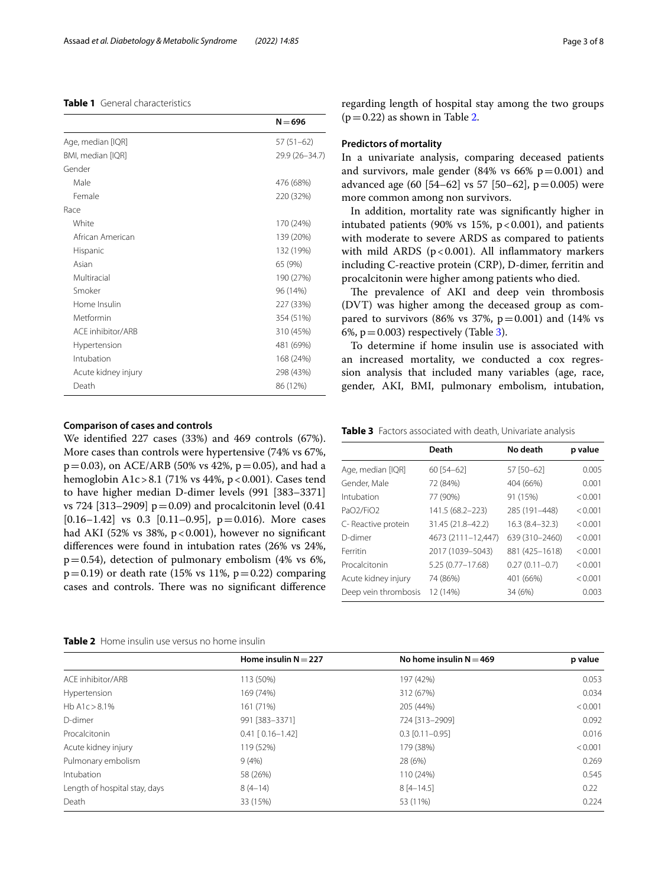# <span id="page-2-0"></span>**Table 1** General characteristics

|                          | $N = 696$      |
|--------------------------|----------------|
| Age, median [IQR]        | $57(51-62)$    |
| BMI, median [IQR]        | 29.9 (26-34.7) |
| Gender                   |                |
| Male                     | 476 (68%)      |
| Female                   | 220 (32%)      |
| Race                     |                |
| White                    | 170 (24%)      |
| African American         | 139 (20%)      |
| Hispanic                 | 132 (19%)      |
| Asian                    | 65 (9%)        |
| Multiracial              | 190 (27%)      |
| Smoker                   | 96 (14%)       |
| Home Insulin             | 227 (33%)      |
| Metformin                | 354 (51%)      |
| <b>ACF</b> inhibitor/ARB | 310 (45%)      |
| Hypertension             | 481 (69%)      |
| Intubation               | 168 (24%)      |
| Acute kidney injury      | 298 (43%)      |
| Death                    | 86 (12%)       |

## **Comparison of cases and controls**

We identifed 227 cases (33%) and 469 controls (67%). More cases than controls were hypertensive (74% vs 67%,  $p=0.03$ ), on ACE/ARB (50% vs 42%,  $p=0.05$ ), and had a hemoglobin A1c > 8.1 (71% vs 44%, p < 0.001). Cases tend to have higher median D-dimer levels (991 [383–3371] vs 724 [313–2909]  $p = 0.09$ ) and procalcitonin level (0.41 [0.16–1.42] vs 0.3 [0.11–0.95],  $p=0.016$ ). More cases had AKI (52% vs 38%,  $p < 0.001$ ), however no significant diferences were found in intubation rates (26% vs 24%,  $p=0.54$ ), detection of pulmonary embolism (4% vs 6%,  $p=0.19$ ) or death rate (15% vs 11%,  $p=0.22$ ) comparing cases and controls. There was no significant difference

| Page 3 of 8 |  |
|-------------|--|
|-------------|--|

regarding length of hospital stay among the two groups  $(p=0.22)$  as shown in Table [2](#page-2-1).

#### **Predictors of mortality**

In a univariate analysis, comparing deceased patients and survivors, male gender (84% vs  $66\%$  p=0.001) and advanced age  $(60 [54–62] \text{ vs } 57 [50–62], p=0.005)$  were more common among non survivors.

In addition, mortality rate was signifcantly higher in intubated patients (90% vs  $15\%$ , p<0.001), and patients with moderate to severe ARDS as compared to patients with mild ARDS ( $p < 0.001$ ). All inflammatory markers including C-reactive protein (CRP), D-dimer, ferritin and procalcitonin were higher among patients who died.

The prevalence of AKI and deep vein thrombosis (DVT) was higher among the deceased group as compared to survivors (86% vs 37%,  $p=0.001$ ) and (14% vs 6%,  $p = 0.003$ ) respectively (Table [3](#page-2-2)).

To determine if home insulin use is associated with an increased mortality, we conducted a cox regression analysis that included many variables (age, race, gender, AKI, BMI, pulmonary embolism, intubation,

<span id="page-2-2"></span>

| Table 3 Factors associated with death, Univariate analysis |  |
|------------------------------------------------------------|--|
|------------------------------------------------------------|--|

|                                    | Death              | No death           | p value |
|------------------------------------|--------------------|--------------------|---------|
| Age, median [IQR]                  | 60 [54-62]         | 57 [50-62]         | 0.005   |
| Gender, Male                       | 72 (84%)           | 404 (66%)          | 0.001   |
| Intubation                         | 77 (90%)           | 91 (15%)           | < 0.001 |
| PaO <sub>2</sub> /FiO <sub>2</sub> | 141.5 (68.2-223)   | 285 (191-448)      | < 0.001 |
| C- Reactive protein                | 31.45 (21.8-42.2)  | $16.3(8.4 - 32.3)$ | < 0.001 |
| D-dimer                            | 4673 (2111-12,447) | 639 (310-2460)     | < 0.001 |
| Ferritin                           | 2017 (1039-5043)   | 881 (425-1618)     | < 0.001 |
| Procalcitonin                      | 5.25 (0.77-17.68)  | $0.27(0.11 - 0.7)$ | < 0.001 |
| Acute kidney injury                | 74 (86%)           | 401 (66%)          | < 0.001 |
| Deep vein thrombosis               | 12 (14%)           | 34 (6%)            | 0.003   |

<span id="page-2-1"></span>

|  | <b>Table 2</b> Home insulin use versus no home insulin |  |  |
|--|--------------------------------------------------------|--|--|
|--|--------------------------------------------------------|--|--|

|                               | Home insulin $N = 227$ | No home insulin $N = 469$ | p value |
|-------------------------------|------------------------|---------------------------|---------|
| ACE inhibitor/ARB             | 113 (50%)              | 197 (42%)                 | 0.053   |
| Hypertension                  | 169 (74%)              | 312 (67%)                 | 0.034   |
| HbA1c > 8.1%                  | 161 (71%)              | 205 (44%)                 | < 0.001 |
| D-dimer                       | 991 [383-3371]         | 724 [313-2909]            | 0.092   |
| Procalcitonin                 | $0.41$ $0.16 - 1.42$   | $0.3$ $[0.11 - 0.95]$     | 0.016   |
| Acute kidney injury           | 119 (52%)              | 179 (38%)                 | < 0.001 |
| Pulmonary embolism            | 9(4% )                 | 28 (6%)                   | 0.269   |
| Intubation                    | 58 (26%)               | 110 (24%)                 | 0.545   |
| Length of hospital stay, days | $8(4-14)$              | $8[4-14.5]$               | 0.22    |
| Death                         | 33 (15%)               | 53 (11%)                  | 0.224   |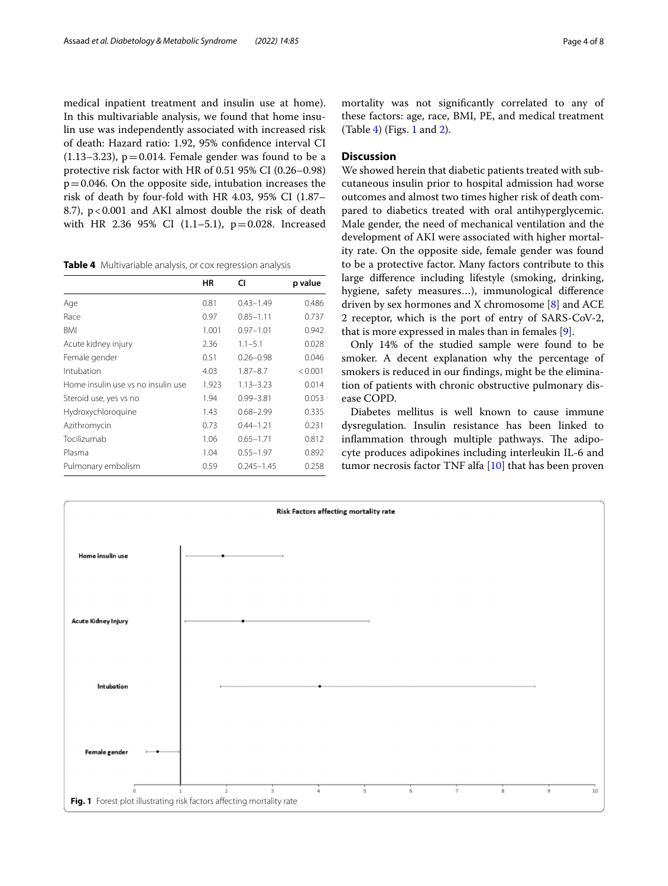medical inpatient treatment and insulin use at home). In this multivariable analysis, we found that home insulin use was independently associated with increased risk of death: Hazard ratio: 1.92, 95% confdence interval CI  $(1.13-3.23)$ ,  $p=0.014$ . Female gender was found to be a protective risk factor with HR of 0.51 95% CI (0.26–0.98)  $p=0.046$ . On the opposite side, intubation increases the risk of death by four-fold with HR 4.03, 95% CI (1.87– 8.7), p<0.001 and AKI almost double the risk of death with HR 2.36 95% CI (1.1–5.1), p=0.028. Increased

<span id="page-3-0"></span>**Table 4** Multivariable analysis, or cox regression analysis

|                                    | ΗR    | CI             | p value |
|------------------------------------|-------|----------------|---------|
| Age                                | 0.81  | $0.43 - 1.49$  | 0.486   |
| Race                               | 0.97  | $0.85 - 1.11$  | 0.737   |
| <b>BMI</b>                         | 1.001 | $0.97 - 1.01$  | 0.942   |
| Acute kidney injury                | 2.36  | $1.1 - 5.1$    | 0.028   |
| Female gender                      | 0.51  | $0.26 - 0.98$  | 0.046   |
| Intubation                         | 4.03  | $1.87 - 8.7$   | < 0.001 |
| Home insulin use vs no insulin use | 1.923 | $1.13 - 3.23$  | 0.014   |
| Steroid use, yes vs no             | 1.94  | $0.99 - 3.81$  | 0.053   |
| Hydroxychloroquine                 | 1.43  | $0.68 - 2.99$  | 0.335   |
| Azithromycin                       | 0.73  | $0.44 - 1.21$  | 0.231   |
| Tocilizumab                        | 1.06  | $0.65 - 1.71$  | 0.812   |
| Plasma                             | 1.04  | $0.55 - 1.97$  | 0.892   |
| Pulmonary embolism                 | 0.59  | $0.245 - 1.45$ | 0.258   |

mortality was not signifcantly correlated to any of these factors: age, race, BMI, PE, and medical treatment (Table [4\)](#page-3-0) (Figs. [1](#page-3-1) and [2\)](#page-4-0).

# **Discussion**

We showed herein that diabetic patients treated with subcutaneous insulin prior to hospital admission had worse outcomes and almost two times higher risk of death compared to diabetics treated with oral antihyperglycemic. Male gender, the need of mechanical ventilation and the development of AKI were associated with higher mortality rate. On the opposite side, female gender was found to be a protective factor. Many factors contribute to this large diference including lifestyle (smoking, drinking, hygiene, safety measures…), immunological diference driven by sex hormones and X chromosome [\[8](#page-6-7)] and ACE 2 receptor, which is the port of entry of SARS-CoV-2, that is more expressed in males than in females [\[9](#page-6-8)].

Only 14% of the studied sample were found to be smoker. A decent explanation why the percentage of smokers is reduced in our fndings, might be the elimination of patients with chronic obstructive pulmonary disease COPD.

Diabetes mellitus is well known to cause immune dysregulation. Insulin resistance has been linked to inflammation through multiple pathways. The adipocyte produces adipokines including interleukin IL-6 and tumor necrosis factor TNF alfa [\[10](#page-6-9)] that has been proven

<span id="page-3-1"></span>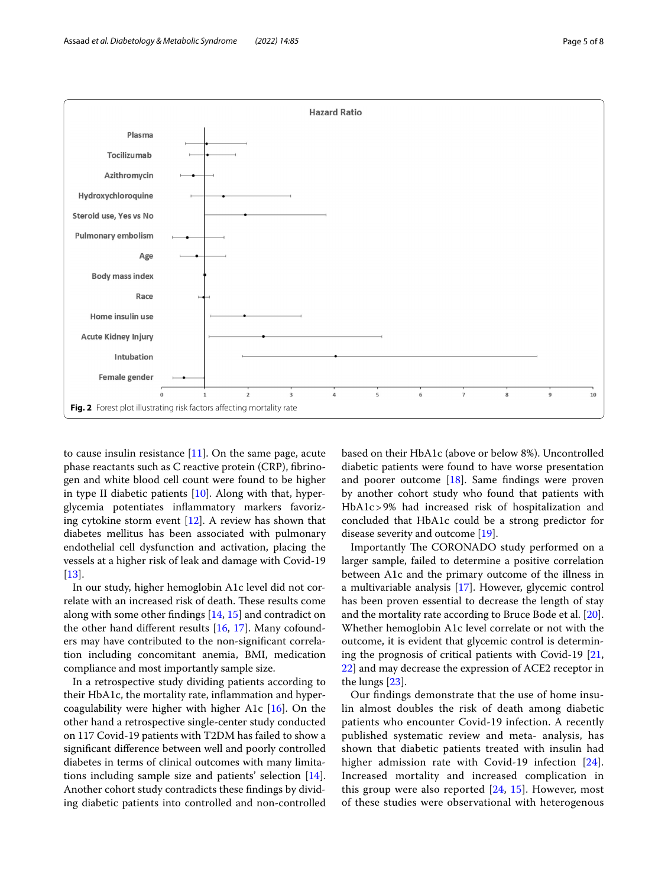

<span id="page-4-0"></span>to cause insulin resistance  $[11]$  $[11]$ . On the same page, acute phase reactants such as C reactive protein (CRP), fbrinogen and white blood cell count were found to be higher in type II diabetic patients [[10\]](#page-6-9). Along with that, hyperglycemia potentiates infammatory markers favorizing cytokine storm event [[12\]](#page-6-11). A review has shown that diabetes mellitus has been associated with pulmonary endothelial cell dysfunction and activation, placing the vessels at a higher risk of leak and damage with Covid-19 [[13\]](#page-6-12).

In our study, higher hemoglobin A1c level did not correlate with an increased risk of death. These results come along with some other fndings [\[14](#page-6-13), [15\]](#page-6-14) and contradict on the other hand diferent results [\[16,](#page-6-15) [17](#page-6-16)]. Many cofounders may have contributed to the non-signifcant correlation including concomitant anemia, BMI, medication compliance and most importantly sample size.

In a retrospective study dividing patients according to their HbA1c, the mortality rate, infammation and hypercoagulability were higher with higher A1c [\[16](#page-6-15)]. On the other hand a retrospective single-center study conducted on 117 Covid-19 patients with T2DM has failed to show a signifcant diference between well and poorly controlled diabetes in terms of clinical outcomes with many limitations including sample size and patients' selection [\[14](#page-6-13)]. Another cohort study contradicts these fndings by dividing diabetic patients into controlled and non-controlled based on their HbA1c (above or below 8%). Uncontrolled diabetic patients were found to have worse presentation and poorer outcome  $[18]$ . Same findings were proven by another cohort study who found that patients with HbA1c>9% had increased risk of hospitalization and concluded that HbA1c could be a strong predictor for disease severity and outcome [\[19\]](#page-6-18).

Importantly The CORONADO study performed on a larger sample, failed to determine a positive correlation between A1c and the primary outcome of the illness in a multivariable analysis [[17\]](#page-6-16). However, glycemic control has been proven essential to decrease the length of stay and the mortality rate according to Bruce Bode et al. [\[20](#page-6-19)]. Whether hemoglobin A1c level correlate or not with the outcome, it is evident that glycemic control is determining the prognosis of critical patients with Covid-19 [[21](#page-6-20), [22\]](#page-6-21) and may decrease the expression of ACE2 receptor in the lungs [[23](#page-6-22)].

Our fndings demonstrate that the use of home insulin almost doubles the risk of death among diabetic patients who encounter Covid-19 infection. A recently published systematic review and meta- analysis, has shown that diabetic patients treated with insulin had higher admission rate with Covid-19 infection [[24](#page-6-23)]. Increased mortality and increased complication in this group were also reported  $[24, 15]$  $[24, 15]$  $[24, 15]$  $[24, 15]$ . However, most of these studies were observational with heterogenous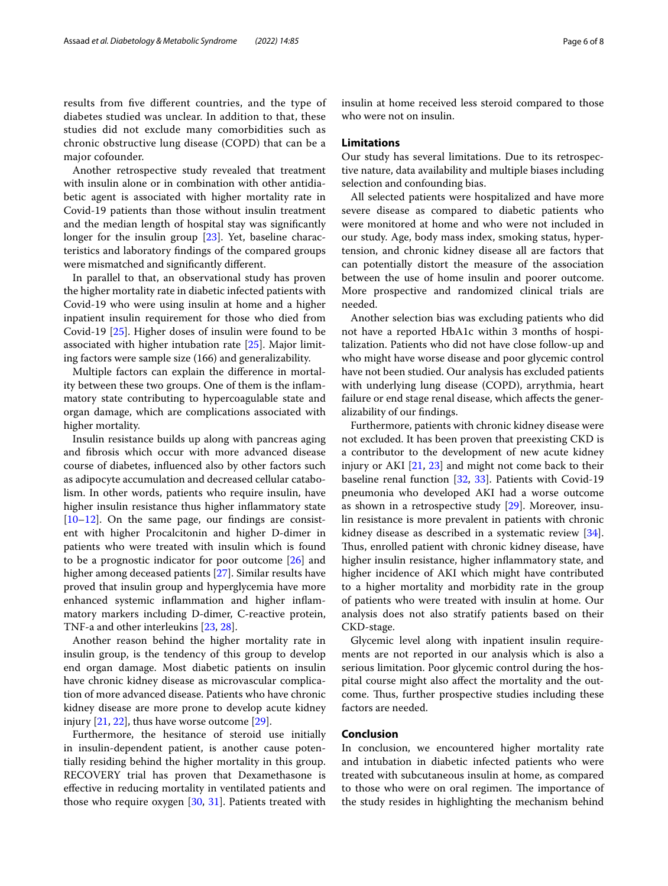results from fve diferent countries, and the type of diabetes studied was unclear. In addition to that, these studies did not exclude many comorbidities such as chronic obstructive lung disease (COPD) that can be a major cofounder.

Another retrospective study revealed that treatment with insulin alone or in combination with other antidiabetic agent is associated with higher mortality rate in Covid-19 patients than those without insulin treatment and the median length of hospital stay was signifcantly longer for the insulin group [[23\]](#page-6-22). Yet, baseline characteristics and laboratory fndings of the compared groups were mismatched and signifcantly diferent.

In parallel to that, an observational study has proven the higher mortality rate in diabetic infected patients with Covid-19 who were using insulin at home and a higher inpatient insulin requirement for those who died from Covid-19 [[25\]](#page-6-24). Higher doses of insulin were found to be associated with higher intubation rate [\[25](#page-6-24)]. Major limiting factors were sample size (166) and generalizability.

Multiple factors can explain the diference in mortality between these two groups. One of them is the infammatory state contributing to hypercoagulable state and organ damage, which are complications associated with higher mortality.

Insulin resistance builds up along with pancreas aging and fbrosis which occur with more advanced disease course of diabetes, infuenced also by other factors such as adipocyte accumulation and decreased cellular catabolism. In other words, patients who require insulin, have higher insulin resistance thus higher infammatory state [[10–](#page-6-9)[12](#page-6-11)]. On the same page, our fndings are consistent with higher Procalcitonin and higher D-dimer in patients who were treated with insulin which is found to be a prognostic indicator for poor outcome [[26\]](#page-6-25) and higher among deceased patients [\[27](#page-6-26)]. Similar results have proved that insulin group and hyperglycemia have more enhanced systemic infammation and higher infammatory markers including D-dimer, C-reactive protein, TNF-a and other interleukins [\[23](#page-6-22), [28](#page-7-0)].

Another reason behind the higher mortality rate in insulin group, is the tendency of this group to develop end organ damage. Most diabetic patients on insulin have chronic kidney disease as microvascular complication of more advanced disease. Patients who have chronic kidney disease are more prone to develop acute kidney injury [[21](#page-6-20), [22\]](#page-6-21), thus have worse outcome [\[29](#page-7-1)].

Furthermore, the hesitance of steroid use initially in insulin-dependent patient, is another cause potentially residing behind the higher mortality in this group. RECOVERY trial has proven that Dexamethasone is efective in reducing mortality in ventilated patients and those who require oxygen [[30](#page-7-2), [31\]](#page-7-3). Patients treated with insulin at home received less steroid compared to those who were not on insulin.

# **Limitations**

Our study has several limitations. Due to its retrospective nature, data availability and multiple biases including selection and confounding bias.

All selected patients were hospitalized and have more severe disease as compared to diabetic patients who were monitored at home and who were not included in our study. Age, body mass index, smoking status, hypertension, and chronic kidney disease all are factors that can potentially distort the measure of the association between the use of home insulin and poorer outcome. More prospective and randomized clinical trials are needed.

Another selection bias was excluding patients who did not have a reported HbA1c within 3 months of hospitalization. Patients who did not have close follow-up and who might have worse disease and poor glycemic control have not been studied. Our analysis has excluded patients with underlying lung disease (COPD), arrythmia, heart failure or end stage renal disease, which afects the generalizability of our fndings.

Furthermore, patients with chronic kidney disease were not excluded. It has been proven that preexisting CKD is a contributor to the development of new acute kidney injury or AKI [\[21](#page-6-20), [23](#page-6-22)] and might not come back to their baseline renal function [[32](#page-7-4), [33](#page-7-5)]. Patients with Covid-19 pneumonia who developed AKI had a worse outcome as shown in a retrospective study [\[29](#page-7-1)]. Moreover, insulin resistance is more prevalent in patients with chronic kidney disease as described in a systematic review [\[34](#page-7-6)]. Thus, enrolled patient with chronic kidney disease, have higher insulin resistance, higher infammatory state, and higher incidence of AKI which might have contributed to a higher mortality and morbidity rate in the group of patients who were treated with insulin at home. Our analysis does not also stratify patients based on their CKD-stage.

Glycemic level along with inpatient insulin requirements are not reported in our analysis which is also a serious limitation. Poor glycemic control during the hospital course might also afect the mortality and the outcome. Thus, further prospective studies including these factors are needed.

#### **Conclusion**

In conclusion, we encountered higher mortality rate and intubation in diabetic infected patients who were treated with subcutaneous insulin at home, as compared to those who were on oral regimen. The importance of the study resides in highlighting the mechanism behind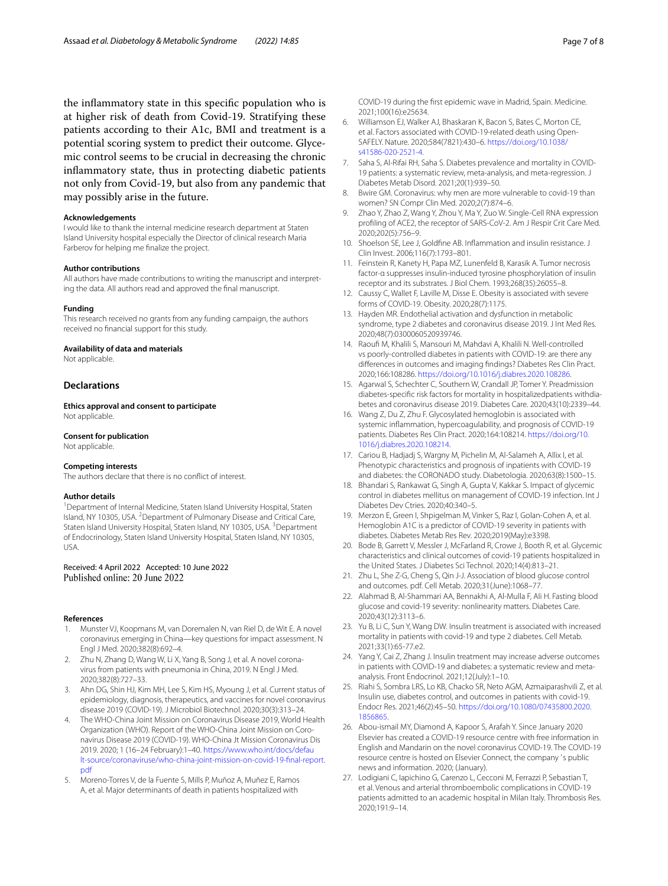the infammatory state in this specifc population who is at higher risk of death from Covid-19. Stratifying these patients according to their A1c, BMI and treatment is a potential scoring system to predict their outcome. Glycemic control seems to be crucial in decreasing the chronic infammatory state, thus in protecting diabetic patients not only from Covid-19, but also from any pandemic that may possibly arise in the future.

### **Acknowledgements**

I would like to thank the internal medicine research department at Staten Island University hospital especially the Director of clinical research Maria Farberov for helping me fnalize the project.

#### **Author contributions**

All authors have made contributions to writing the manuscript and interpreting the data. All authors read and approved the fnal manuscript.

#### **Funding**

This research received no grants from any funding campaign, the authors received no fnancial support for this study.

#### **Availability of data and materials**

Not applicable.

#### **Declarations**

**Ethics approval and consent to participate** Not applicable.

#### **Consent for publication**

Not applicable.

#### **Competing interests**

The authors declare that there is no confict of interest.

#### **Author details**

<sup>1</sup> Department of Internal Medicine, Staten Island University Hospital, Staten Island, NY 10305, USA. <sup>2</sup> Department of Pulmonary Disease and Critical Care, Staten Island University Hospital, Staten Island, NY 10305, USA. <sup>3</sup>Department of Endocrinology, Staten Island University Hospital, Staten Island, NY 10305, USA.

#### Received: 4 April 2022 Accepted: 10 June 2022 Published online: 20 June 2022

#### **References**

- <span id="page-6-0"></span>1. Munster VJ, Koopmans M, van Doremalen N, van Riel D, de Wit E. A novel coronavirus emerging in China—key questions for impact assessment. N Engl J Med. 2020;382(8):692–4.
- <span id="page-6-1"></span>2. Zhu N, Zhang D, Wang W, Li X, Yang B, Song J, et al. A novel coronavirus from patients with pneumonia in China, 2019. N Engl J Med. 2020;382(8):727–33.
- <span id="page-6-2"></span>3. Ahn DG, Shin HJ, Kim MH, Lee S, Kim HS, Myoung J, et al. Current status of epidemiology, diagnosis, therapeutics, and vaccines for novel coronavirus disease 2019 (COVID-19). J Microbiol Biotechnol. 2020;30(3):313–24.
- <span id="page-6-3"></span>4. The WHO-China Joint Mission on Coronavirus Disease 2019, World Health Organization (WHO). Report of the WHO-China Joint Mission on Coronavirus Disease 2019 (COVID-19). WHO-China Jt Mission Coronavirus Dis 2019. 2020; 1 (16–24 February):1–40. [https://www.who.int/docs/defau](https://www.who.int/docs/default-source/coronaviruse/who-china-joint-mission-on-covid-19-final-report.pdf) [lt-source/coronaviruse/who-china-joint-mission-on-covid-19-fnal-report.](https://www.who.int/docs/default-source/coronaviruse/who-china-joint-mission-on-covid-19-final-report.pdf) [pdf](https://www.who.int/docs/default-source/coronaviruse/who-china-joint-mission-on-covid-19-final-report.pdf)
- <span id="page-6-4"></span>5. Moreno-Torres V, de la Fuente S, Mills P, Muñoz A, Muñez E, Ramos A, et al. Major determinants of death in patients hospitalized with

COVID-19 during the frst epidemic wave in Madrid, Spain. Medicine. 2021;100(16):e25634.

- <span id="page-6-5"></span>6. Williamson EJ, Walker AJ, Bhaskaran K, Bacon S, Bates C, Morton CE, et al. Factors associated with COVID-19-related death using Open-SAFELY. Nature. 2020;584(7821):430–6. [https://doi.org/10.1038/](https://doi.org/10.1038/s41586-020-2521-4) [s41586-020-2521-4.](https://doi.org/10.1038/s41586-020-2521-4)
- <span id="page-6-6"></span>7. Saha S, Al-Rifai RH, Saha S. Diabetes prevalence and mortality in COVID-19 patients: a systematic review, meta-analysis, and meta-regression. J Diabetes Metab Disord. 2021;20(1):939–50.
- <span id="page-6-7"></span>8. Bwire GM. Coronavirus: why men are more vulnerable to covid-19 than women? SN Compr Clin Med. 2020;2(7):874–6.
- <span id="page-6-8"></span>9. Zhao Y, Zhao Z, Wang Y, Zhou Y, Ma Y, Zuo W. Single-Cell RNA expression profling of ACE2, the receptor of SARS-CoV-2. Am J Respir Crit Care Med. 2020;202(5):756–9.
- <span id="page-6-9"></span>10. Shoelson SE, Lee J, Goldfne AB. Infammation and insulin resistance. J Clin Invest. 2006;116(7):1793–801.
- <span id="page-6-10"></span>11. Feinstein R, Kanety H, Papa MZ, Lunenfeld B, Karasik A. Tumor necrosis factor-α suppresses insulin-induced tyrosine phosphorylation of insulin receptor and its substrates. J Biol Chem. 1993;268(35):26055–8.
- <span id="page-6-11"></span>12. Caussy C, Wallet F, Laville M, Disse E. Obesity is associated with severe forms of COVID-19. Obesity. 2020;28(7):1175.
- <span id="page-6-12"></span>13. Hayden MR. Endothelial activation and dysfunction in metabolic syndrome, type 2 diabetes and coronavirus disease 2019. J Int Med Res. 2020;48(7):0300060520939746.
- <span id="page-6-13"></span>14. Raouf M, Khalili S, Mansouri M, Mahdavi A, Khalili N. Well-controlled vs poorly-controlled diabetes in patients with COVID-19: are there any diferences in outcomes and imaging fndings? Diabetes Res Clin Pract. 2020;166:108286. <https://doi.org/10.1016/j.diabres.2020.108286>.
- <span id="page-6-14"></span>15. Agarwal S, Schechter C, Southern W, Crandall JP, Tomer Y. Preadmission diabetes-specific risk factors for mortality in hospitalizedpatients withdiabetes and coronavirus disease 2019. Diabetes Care. 2020;43(10):2339–44.
- <span id="page-6-15"></span>16. Wang Z, Du Z, Zhu F. Glycosylated hemoglobin is associated with systemic infammation, hypercoagulability, and prognosis of COVID-19 patients. Diabetes Res Clin Pract. 2020;164:108214. [https://doi.org/10.](https://doi.org/10.1016/j.diabres.2020.108214) [1016/j.diabres.2020.108214.](https://doi.org/10.1016/j.diabres.2020.108214)
- <span id="page-6-16"></span>17. Cariou B, Hadjadj S, Wargny M, Pichelin M, Al-Salameh A, Allix I, et al. Phenotypic characteristics and prognosis of inpatients with COVID-19 and diabetes: the CORONADO study. Diabetologia. 2020;63(8):1500–15.
- <span id="page-6-17"></span>18. Bhandari S, Rankawat G, Singh A, Gupta V, Kakkar S. Impact of glycemic control in diabetes mellitus on management of COVID-19 infection. Int J Diabetes Dev Ctries. 2020;40:340–5.
- <span id="page-6-18"></span>19. Merzon E, Green I, Shpigelman M, Vinker S, Raz I, Golan-Cohen A, et al. Hemoglobin A1C is a predictor of COVID-19 severity in patients with diabetes. Diabetes Metab Res Rev. 2020;2019(May):e3398.
- <span id="page-6-19"></span>20. Bode B, Garrett V, Messler J, McFarland R, Crowe J, Booth R, et al. Glycemic characteristics and clinical outcomes of covid-19 patients hospitalized in the United States. J Diabetes Sci Technol. 2020;14(4):813–21.
- <span id="page-6-20"></span>21. Zhu L, She Z-G, Cheng S, Qin J-J. Association of blood glucose control and outcomes. pdf. Cell Metab. 2020;31(June):1068–77.
- <span id="page-6-21"></span>22. Alahmad B, Al-Shammari AA, Bennakhi A, Al-Mulla F, Ali H. Fasting blood glucose and covid-19 severity: nonlinearity matters. Diabetes Care. 2020;43(12):3113–6.
- <span id="page-6-22"></span>23. Yu B, Li C, Sun Y, Wang DW. Insulin treatment is associated with increased mortality in patients with covid-19 and type 2 diabetes. Cell Metab. 2021;33(1):65-77.e2.
- <span id="page-6-23"></span>24. Yang Y, Cai Z, Zhang J. Insulin treatment may increase adverse outcomes in patients with COVID-19 and diabetes: a systematic review and metaanalysis. Front Endocrinol. 2021;12(July):1–10.
- <span id="page-6-24"></span>25. Riahi S, Sombra LRS, Lo KB, Chacko SR, Neto AGM, Azmaiparashvili Z, et al. Insulin use, diabetes control, and outcomes in patients with covid-19. Endocr Res. 2021;46(2):45–50. [https://doi.org/10.1080/07435800.2020.](https://doi.org/10.1080/07435800.2020.1856865) [1856865](https://doi.org/10.1080/07435800.2020.1856865).
- <span id="page-6-25"></span>26. Abou-ismail MY, Diamond A, Kapoor S, Arafah Y. Since January 2020 Elsevier has created a COVID-19 resource centre with free information in English and Mandarin on the novel coronavirus COVID-19. The COVID-19 resource centre is hosted on Elsevier Connect, the company 's public news and information. 2020; (January).
- <span id="page-6-26"></span>27. Lodigiani C, Iapichino G, Carenzo L, Cecconi M, Ferrazzi P, Sebastian T, et al. Venous and arterial thromboembolic complications in COVID-19 patients admitted to an academic hospital in Milan Italy. Thrombosis Res. 2020;191:9–14.